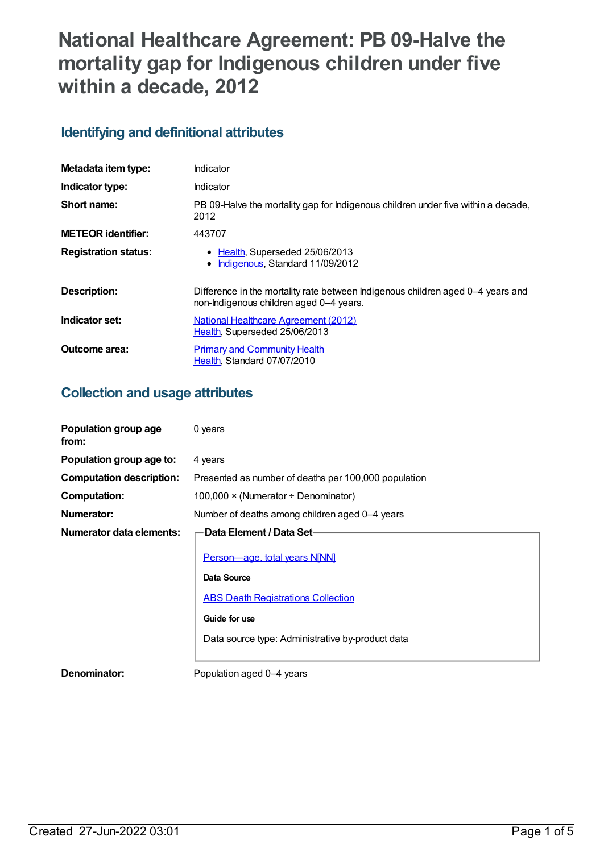# **National Healthcare Agreement: PB 09-Halve the mortality gap for Indigenous children under five within a decade, 2012**

## **Identifying and definitional attributes**

| Metadata item type:         | Indicator                                                                                                                  |
|-----------------------------|----------------------------------------------------------------------------------------------------------------------------|
| Indicator type:             | Indicator                                                                                                                  |
| Short name:                 | PB 09-Halve the mortality gap for Indigenous children under five within a decade,<br>2012                                  |
| <b>METEOR</b> identifier:   | 443707                                                                                                                     |
| <b>Registration status:</b> | • Health, Superseded 25/06/2013<br>Indigenous, Standard 11/09/2012<br>$\bullet$                                            |
| Description:                | Difference in the mortality rate between Indigenous children aged 0–4 years and<br>non-Indigenous children aged 0-4 years. |
| Indicator set:              | National Healthcare Agreement (2012)<br>Health, Superseded 25/06/2013                                                      |
| Outcome area:               | <b>Primary and Community Health</b><br>Health, Standard 07/07/2010                                                         |

## **Collection and usage attributes**

| Population group age<br>from:   | 0 years                                              |
|---------------------------------|------------------------------------------------------|
| Population group age to:        | 4 years                                              |
| <b>Computation description:</b> | Presented as number of deaths per 100,000 population |
| <b>Computation:</b>             | 100,000 $\times$ (Numerator $\div$ Denominator)      |
| <b>Numerator:</b>               | Number of deaths among children aged 0-4 years       |
| Numerator data elements:        | Data Element / Data Set-                             |
|                                 | Person-age, total years N[NN]                        |
|                                 | Data Source                                          |
|                                 | <b>ABS Death Registrations Collection</b>            |
|                                 | Guide for use                                        |
|                                 | Data source type: Administrative by-product data     |
|                                 |                                                      |
| Denominator:                    | Population aged 0-4 years                            |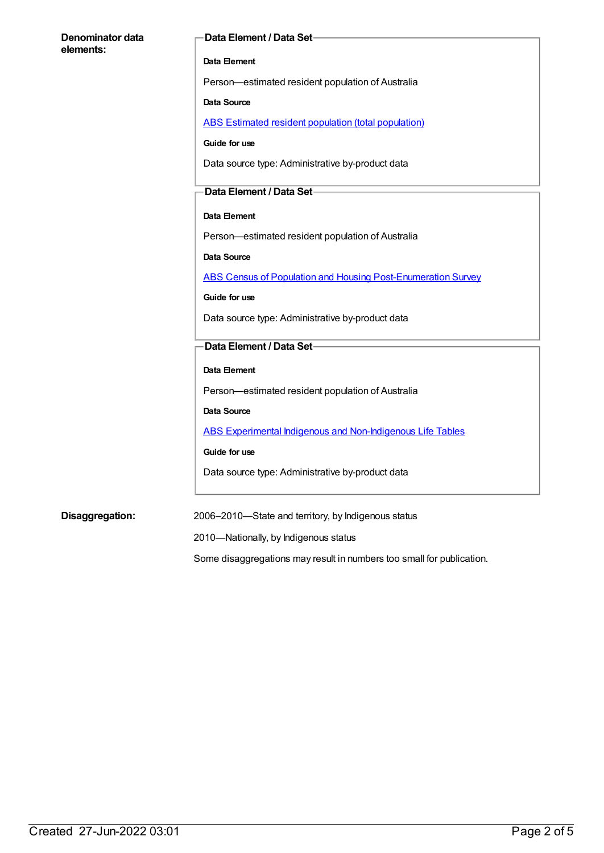#### **Denominator data elements:**

#### **Data Element / Data Set**

#### **Data Element**

Person—estimated resident population of Australia

#### **Data Source**

ABS Estimated resident population (total [population\)](https://meteor.aihw.gov.au/content/393625)

**Guide for use**

Data source type: Administrative by-product data

#### **Data Element / Data Set**

#### **Data Element**

Person—estimated resident population of Australia

**Data Source**

ABS Census of Population and Housing [Post-Enumeration](https://meteor.aihw.gov.au/content/394482) Survey

**Guide for use**

Data source type: Administrative by-product data

#### **Data Element / Data Set**

#### **Data Element**

Person—estimated resident population of Australia

**Data Source**

ABS Experimental Indigenous and [Non-Indigenous](https://meteor.aihw.gov.au/content/396210) Life Tables

**Guide for use**

Data source type: Administrative by-product data

**Disaggregation:** 2006–2010—State and territory, by Indigenous status

2010—Nationally, by Indigenous status

Some disaggregations may result in numbers too small for publication.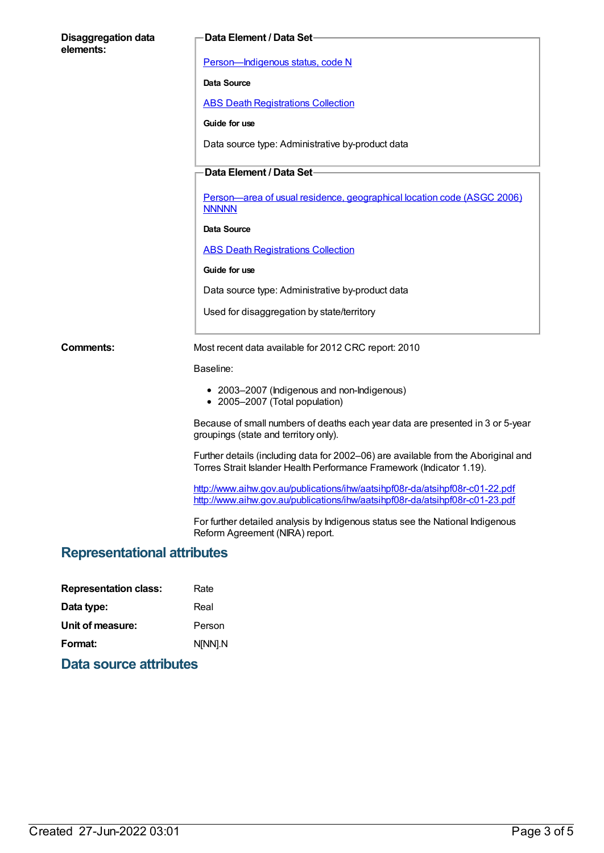| <b>Disaggregation data</b><br>elements: | Data Element / Data Set-                                                                                                                                     |  |
|-----------------------------------------|--------------------------------------------------------------------------------------------------------------------------------------------------------------|--|
|                                         | Person-Indigenous status, code N                                                                                                                             |  |
|                                         | Data Source                                                                                                                                                  |  |
|                                         | <b>ABS Death Registrations Collection</b>                                                                                                                    |  |
|                                         | Guide for use                                                                                                                                                |  |
|                                         | Data source type: Administrative by-product data                                                                                                             |  |
|                                         |                                                                                                                                                              |  |
|                                         | Data Element / Data Set-                                                                                                                                     |  |
|                                         | Person—area of usual residence, geographical location code (ASGC 2006)<br><b>NNNNN</b>                                                                       |  |
|                                         | Data Source                                                                                                                                                  |  |
|                                         | <b>ABS Death Registrations Collection</b>                                                                                                                    |  |
|                                         | Guide for use                                                                                                                                                |  |
|                                         | Data source type: Administrative by-product data                                                                                                             |  |
|                                         | Used for disaggregation by state/territory                                                                                                                   |  |
| Comments:                               | Most recent data available for 2012 CRC report: 2010                                                                                                         |  |
|                                         | Baseline:                                                                                                                                                    |  |
|                                         | • 2003-2007 (Indigenous and non-Indigenous)<br>• 2005-2007 (Total population)                                                                                |  |
|                                         | Because of small numbers of deaths each year data are presented in 3 or 5-year<br>groupings (state and territory only).                                      |  |
|                                         | Further details (including data for 2002-06) are available from the Aboriginal and<br>Torres Strait Islander Health Performance Framework (Indicator 1.19).  |  |
|                                         | http://www.aihw.gov.au/publications/ihw/aatsihpf08r-da/atsihpf08r-c01-22.pdf<br>http://www.aihw.gov.au/publications/ihw/aatsihpf08r-da/atsihpf08r-c01-23.pdf |  |
|                                         | For further detailed analysis by Indigenous status see the National Indigenous<br>Reform Agreement (NIRA) report.                                            |  |
| <b>Representational attributes</b>      |                                                                                                                                                              |  |
|                                         |                                                                                                                                                              |  |
|                                         |                                                                                                                                                              |  |

| <b>Representation class:</b> | Rate    |
|------------------------------|---------|
| Data type:                   | Real    |
| Unit of measure:             | Person  |
| Format:                      | N[NN].N |

**Data source attributes**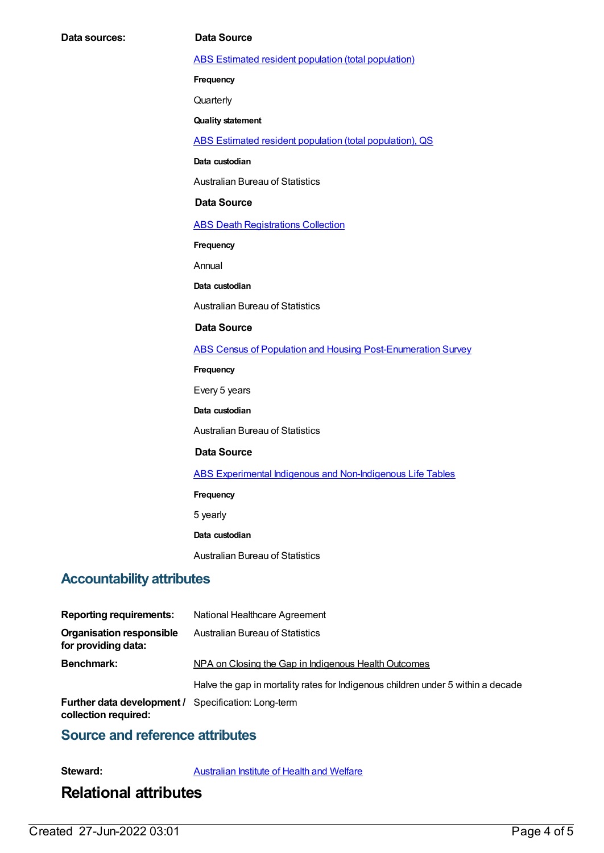ABS Estimated resident population (total [population\)](https://meteor.aihw.gov.au/content/393625)

**Frequency**

**Quarterly** 

**Quality statement**

ABS Estimated resident population (total [population\),](https://meteor.aihw.gov.au/content/449216) QS

**Data custodian**

Australian Bureau of Statistics

#### **Data Source**

**ABS Death [Registrations](https://meteor.aihw.gov.au/content/394481) Collection** 

**Frequency**

Annual

**Data custodian**

Australian Bureau of Statistics

#### **Data Source**

ABS Census of Population and Housing [Post-Enumeration](https://meteor.aihw.gov.au/content/394482) Survey

**Frequency**

Every 5 years

**Data custodian**

Australian Bureau of Statistics

#### **Data Source**

ABS Experimental Indigenous and [Non-Indigenous](https://meteor.aihw.gov.au/content/396210) Life Tables

**Frequency**

5 yearly

**Data custodian**

Australian Bureau of Statistics

### **Accountability attributes**

| <b>Reporting requirements:</b>                                                     | National Healthcare Agreement                                                    |
|------------------------------------------------------------------------------------|----------------------------------------------------------------------------------|
| <b>Organisation responsible</b><br>for providing data:                             | <b>Australian Bureau of Statistics</b>                                           |
| <b>Benchmark:</b>                                                                  | NPA on Closing the Gap in Indigenous Health Outcomes                             |
|                                                                                    | Halve the gap in mortality rates for Indigenous children under 5 within a decade |
| <b>Further data development / Specification: Long-term</b><br>collection required: |                                                                                  |

#### **Source and reference attributes**

**Steward:** [Australian](https://meteor.aihw.gov.au/content/246013) Institute of Health and Welfare

## **Relational attributes**